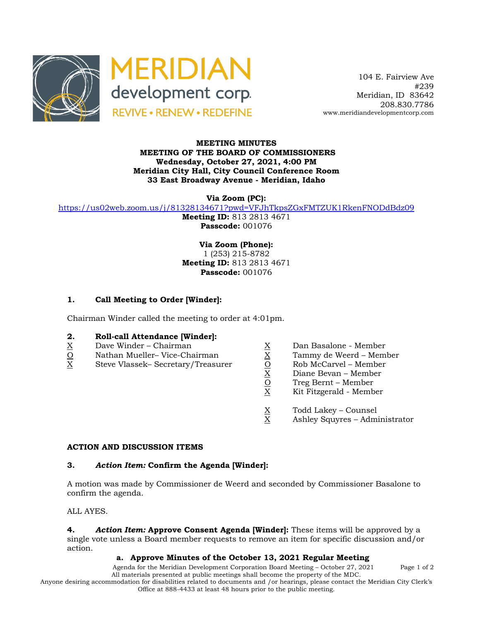



 104 E. Fairview Ave #239 Meridian, ID 83642 208.830.7786 www.meridiandevelopmentcorp.com

#### **MEETING MINUTES MEETING OF THE BOARD OF COMMISSIONERS Wednesday, October 27, 2021, 4:00 PM Meridian City Hall, City Council Conference Room 33 East Broadway Avenue - Meridian, Idaho**

**Via Zoom (PC):**

https://us02web.zoom.us/j/81328134671?pwd=VFJhTkpsZGxFMTZUK1RkenFNODdBdz09

**Meeting ID:** 813 2813 4671 **Passcode:** 001076

**Via Zoom (Phone):** 1 (253) 215-8782 **Meeting ID:** 813 2813 4671 **Passcode:** 001076

# **1. Call Meeting to Order [Winder]:**

Chairman Winder called the meeting to order at 4:01pm.

### **2. Roll-call Attendance [Winder]:**

- 
- $\frac{O}{X}$  Nathan Mueller– Vice-Chairman  $\frac{X}{O}$  Tammy de Weerd Member<br>X Steve Vlassek– Secretary/Treasurer  $\frac{X}{O}$  Rob McCarvel Member
- $\begin{array}{llllll} \underline{X} & \text{Dave Winder} \text{Chairman} & \underline{X} & \text{Dan Basalone Member} \\ \underline{O} & \text{Nathan Mueller} \text{Vice-Chairman} & \underline{X} & \text{Tammy de Weerd Membr} \\ \underline{X} & \text{Steve Vlassek- Secretary/Treasure} & \underline{O} & \text{Rob McCarvel Member} \\ \underline{X} & \text{Diane Bevan Member} \\ \underline{O} & \text{Treg Bernt Member} \\ \underline{X} & \text{Kit Fitzgerald Member} \end{array}$ X Steve Vlassek– Secretary/Treasurer O Rob McCarvel – Member
	-
	-
	-
	- Diane Bevan Member
	- Treg Bernt Member
	- X Kit Fitzgerald Member
	- $\frac{X}{X}$  Todd Lakey Counsel<br>X Ashley Squyres Adm
	- Ashley Squyres Administrator

#### **ACTION AND DISCUSSION ITEMS**

#### **3.** *Action Item:* **Confirm the Agenda [Winder]:**

A motion was made by Commissioner de Weerd and seconded by Commissioner Basalone to confirm the agenda.

ALL AYES.

**4.** *Action Item:* **Approve Consent Agenda [Winder]:** These items will be approved by a single vote unless a Board member requests to remove an item for specific discussion and/or action.

## **a. Approve Minutes of the October 13, 2021 Regular Meeting**

Agenda for the Meridian Development Corporation Board Meeting – October 27, 2021 Page 1 of 2 All materials presented at public meetings shall become the property of the MDC.

Anyone desiring accommodation for disabilities related to documents and /or hearings, please contact the Meridian City Clerk's

Office at 888-4433 at least 48 hours prior to the public meeting.